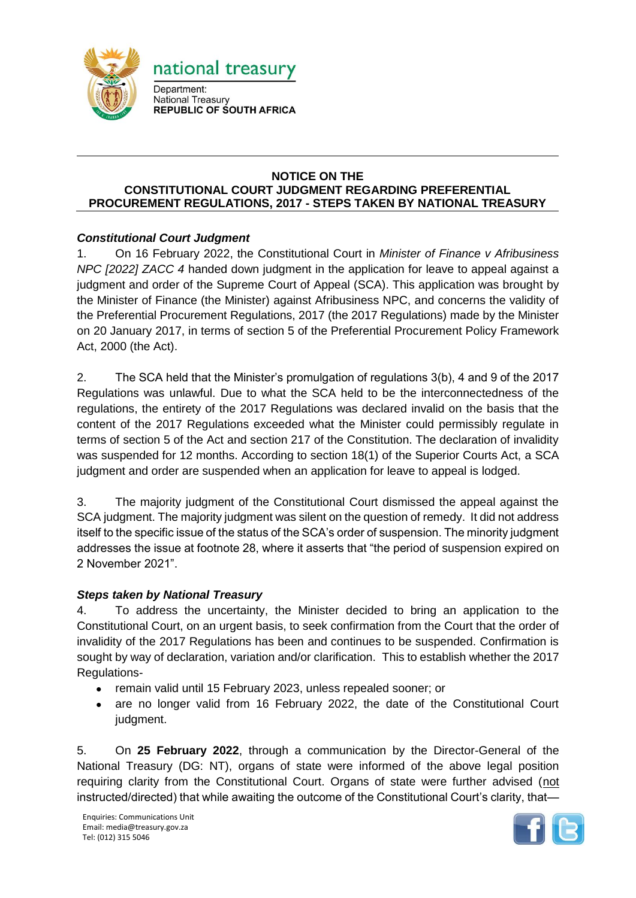

## **NOTICE ON THE CONSTITUTIONAL COURT JUDGMENT REGARDING PREFERENTIAL PROCUREMENT REGULATIONS, 2017 - STEPS TAKEN BY NATIONAL TREASURY**

## *Constitutional Court Judgment*

1. On 16 February 2022, the Constitutional Court in *Minister of Finance v Afribusiness NPC [2022] ZACC 4* handed down judgment in the application for leave to appeal against a judgment and order of the Supreme Court of Appeal (SCA). This application was brought by the Minister of Finance (the Minister) against Afribusiness NPC, and concerns the validity of the Preferential Procurement Regulations, 2017 (the 2017 Regulations) made by the Minister on 20 January 2017, in terms of section 5 of the Preferential Procurement Policy Framework Act, 2000 (the Act).

2. The SCA held that the Minister's promulgation of regulations 3(b), 4 and 9 of the 2017 Regulations was unlawful. Due to what the SCA held to be the interconnectedness of the regulations, the entirety of the 2017 Regulations was declared invalid on the basis that the content of the 2017 Regulations exceeded what the Minister could permissibly regulate in terms of section 5 of the Act and section 217 of the Constitution. The declaration of invalidity was suspended for 12 months. According to section 18(1) of the Superior Courts Act, a SCA judgment and order are suspended when an application for leave to appeal is lodged.

3. The majority judgment of the Constitutional Court dismissed the appeal against the SCA judgment. The majority judgment was silent on the question of remedy. It did not address itself to the specific issue of the status of the SCA's order of suspension. The minority judgment addresses the issue at footnote 28, where it asserts that "the period of suspension expired on 2 November 2021".

## *Steps taken by National Treasury*

4. To address the uncertainty, the Minister decided to bring an application to the Constitutional Court, on an urgent basis, to seek confirmation from the Court that the order of invalidity of the 2017 Regulations has been and continues to be suspended. Confirmation is sought by way of declaration, variation and/or clarification. This to establish whether the 2017 Regulations-

- remain valid until 15 February 2023, unless repealed sooner; or
- are no longer valid from 16 February 2022, the date of the Constitutional Court judgment.

5. On **25 February 2022**, through a communication by the Director-General of the National Treasury (DG: NT), organs of state were informed of the above legal position requiring clarity from the Constitutional Court. Organs of state were further advised (not instructed/directed) that while awaiting the outcome of the Constitutional Court's clarity, that—

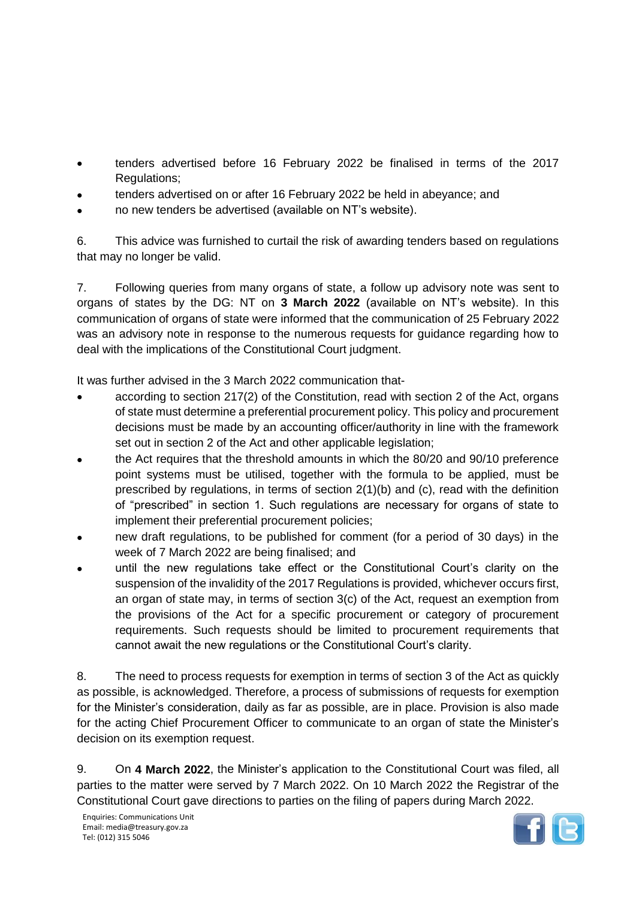- tenders advertised before 16 February 2022 be finalised in terms of the 2017 Regulations;
- tenders advertised on or after 16 February 2022 be held in abeyance; and
- no new tenders be advertised (available on NT's website).

6. This advice was furnished to curtail the risk of awarding tenders based on regulations that may no longer be valid.

7. Following queries from many organs of state, a follow up advisory note was sent to organs of states by the DG: NT on **3 March 2022** (available on NT's website). In this communication of organs of state were informed that the communication of 25 February 2022 was an advisory note in response to the numerous requests for guidance regarding how to deal with the implications of the Constitutional Court judgment.

It was further advised in the 3 March 2022 communication that-

- according to section 217(2) of the Constitution, read with section 2 of the Act, organs of state must determine a preferential procurement policy. This policy and procurement decisions must be made by an accounting officer/authority in line with the framework set out in section 2 of the Act and other applicable legislation;
- the Act requires that the threshold amounts in which the 80/20 and 90/10 preference point systems must be utilised, together with the formula to be applied, must be prescribed by regulations, in terms of section 2(1)(b) and (c), read with the definition of "prescribed" in section 1. Such regulations are necessary for organs of state to implement their preferential procurement policies;
- new draft regulations, to be published for comment (for a period of 30 days) in the week of 7 March 2022 are being finalised; and
- until the new regulations take effect or the Constitutional Court's clarity on the suspension of the invalidity of the 2017 Regulations is provided, whichever occurs first, an organ of state may, in terms of section 3(c) of the Act, request an exemption from the provisions of the Act for a specific procurement or category of procurement requirements. Such requests should be limited to procurement requirements that cannot await the new regulations or the Constitutional Court's clarity.

8. The need to process requests for exemption in terms of section 3 of the Act as quickly as possible, is acknowledged. Therefore, a process of submissions of requests for exemption for the Minister's consideration, daily as far as possible, are in place. Provision is also made for the acting Chief Procurement Officer to communicate to an organ of state the Minister's decision on its exemption request.

9. On **4 March 2022**, the Minister's application to the Constitutional Court was filed, all parties to the matter were served by 7 March 2022. On 10 March 2022 the Registrar of the Constitutional Court gave directions to parties on the filing of papers during March 2022.